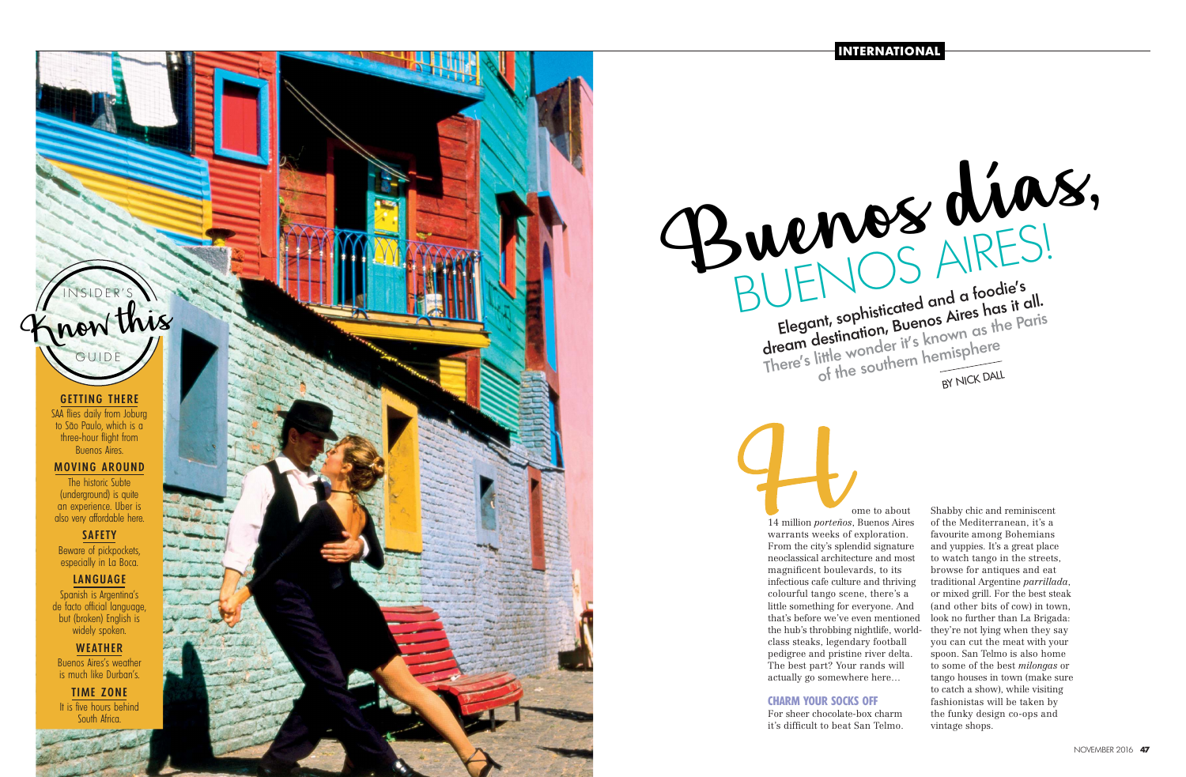**INTERNATIONAL**

GETTING THERE SAA flies daily from Joburg

to São Paulo, which is a three-hour flight from Buenos Aires.

## MOVING AROUND

The historic Subte (underground) is quite an experience. Uber is also very affordable here.

# SAFETY

Beware of pickpockets, especially in La Boca.

## LANGUAGE

Spanish is Argentina's de facto official language, but (broken) English is widely spoken.

WEATHER Buenos Aires's weather is much like Durban's.

TIME ZONE It is five hours behind South Africa.

# INSIDER'S

GUIDE



ome to about 14 million *porteños*, Buenos Aires warrants weeks of exploration. From the city's splendid signature neoclassical architecture and most magnificent boulevards, to its infectious cafe culture and thriving colourful tango scene, there's a little something for everyone. And that's before we've even mentioned the hub's throbbing nightlife, worldclass steaks, legendary football pedigree and pristine river delta. The best part? Your rands will actually go somewhere here… **CHARM YOUR SOCKS OFF** For sheer chocolate-box charm it's difficult to beat San Telmo. Shabby chic and reminiscent of the Mediterranean, it's a favourite among Bohemians and yuppies. It's a great place to watch tango in the streets, browse for antiques and eat traditional Argentine *parrillada*, or mixed grill. For the best steak (and other bits of cow) in town, look no further than La Brigada: they're not lying when they say you can cut the meat with your spoon. San Telmo is also home to some of the best *milongas* or tango houses in town (make sure to catch a show), while visiting fashionistas will be taken by the funky design co-ops and vintage shops. Buenos días, BUENOS AIRES!

Elegant, sophisticated and a foodie's<br>dream destination, Buenos Aires has it all.<br>There's little wonder it's known as the Paris<br>of the southern hemisphere